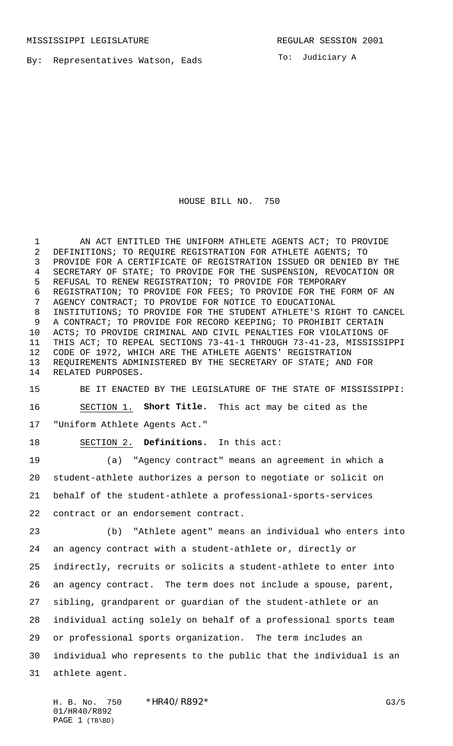By: Representatives Watson, Eads

To: Judiciary A

## HOUSE BILL NO. 750

 AN ACT ENTITLED THE UNIFORM ATHLETE AGENTS ACT; TO PROVIDE DEFINITIONS; TO REQUIRE REGISTRATION FOR ATHLETE AGENTS; TO PROVIDE FOR A CERTIFICATE OF REGISTRATION ISSUED OR DENIED BY THE SECRETARY OF STATE; TO PROVIDE FOR THE SUSPENSION, REVOCATION OR REFUSAL TO RENEW REGISTRATION; TO PROVIDE FOR TEMPORARY REGISTRATION; TO PROVIDE FOR FEES; TO PROVIDE FOR THE FORM OF AN AGENCY CONTRACT; TO PROVIDE FOR NOTICE TO EDUCATIONAL INSTITUTIONS; TO PROVIDE FOR THE STUDENT ATHLETE'S RIGHT TO CANCEL A CONTRACT; TO PROVIDE FOR RECORD KEEPING; TO PROHIBIT CERTAIN ACTS; TO PROVIDE CRIMINAL AND CIVIL PENALTIES FOR VIOLATIONS OF THIS ACT; TO REPEAL SECTIONS 73-41-1 THROUGH 73-41-23, MISSISSIPPI CODE OF 1972, WHICH ARE THE ATHLETE AGENTS' REGISTRATION REQUIREMENTS ADMINISTERED BY THE SECRETARY OF STATE; AND FOR RELATED PURPOSES.

 BE IT ENACTED BY THE LEGISLATURE OF THE STATE OF MISSISSIPPI: SECTION 1. **Short Title.** This act may be cited as the "Uniform Athlete Agents Act."

SECTION 2. **Definitions.** In this act:

 (a) "Agency contract" means an agreement in which a student-athlete authorizes a person to negotiate or solicit on behalf of the student-athlete a professional-sports-services contract or an endorsement contract.

 (b) "Athlete agent" means an individual who enters into an agency contract with a student-athlete or, directly or indirectly, recruits or solicits a student-athlete to enter into an agency contract. The term does not include a spouse, parent, sibling, grandparent or guardian of the student-athlete or an individual acting solely on behalf of a professional sports team or professional sports organization. The term includes an individual who represents to the public that the individual is an athlete agent.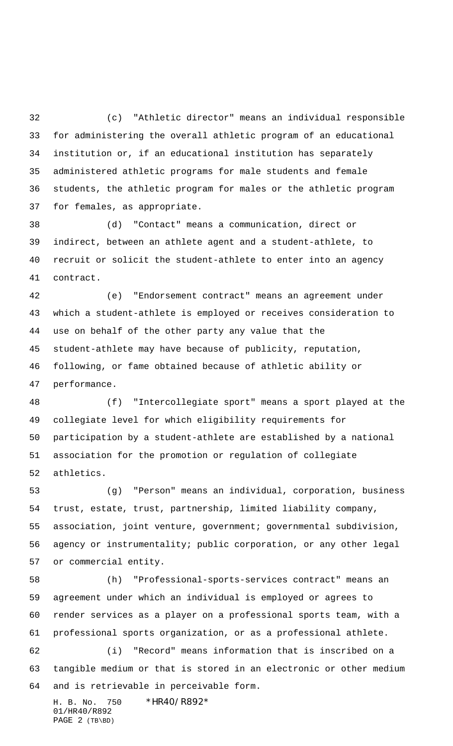(c) "Athletic director" means an individual responsible for administering the overall athletic program of an educational institution or, if an educational institution has separately administered athletic programs for male students and female students, the athletic program for males or the athletic program for females, as appropriate.

 (d) "Contact" means a communication, direct or indirect, between an athlete agent and a student-athlete, to recruit or solicit the student-athlete to enter into an agency contract.

 (e) "Endorsement contract" means an agreement under which a student-athlete is employed or receives consideration to use on behalf of the other party any value that the student-athlete may have because of publicity, reputation, following, or fame obtained because of athletic ability or performance.

 (f) "Intercollegiate sport" means a sport played at the collegiate level for which eligibility requirements for participation by a student-athlete are established by a national association for the promotion or regulation of collegiate athletics.

 (g) "Person" means an individual, corporation, business trust, estate, trust, partnership, limited liability company, association, joint venture, government; governmental subdivision, agency or instrumentality; public corporation, or any other legal or commercial entity.

 (h) "Professional-sports-services contract" means an agreement under which an individual is employed or agrees to render services as a player on a professional sports team, with a professional sports organization, or as a professional athlete. (i) "Record" means information that is inscribed on a

 tangible medium or that is stored in an electronic or other medium and is retrievable in perceivable form.

H. B. No. 750 \*HR40/R892\* 01/HR40/R892 PAGE 2 (TB\BD)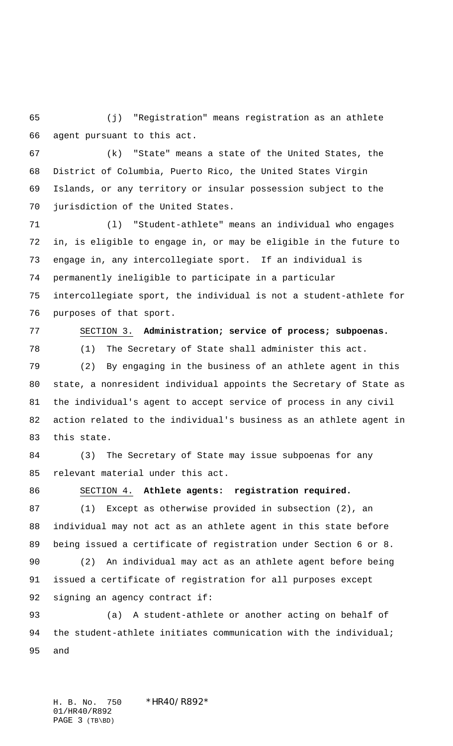(j) "Registration" means registration as an athlete agent pursuant to this act.

 (k) "State" means a state of the United States, the District of Columbia, Puerto Rico, the United States Virgin Islands, or any territory or insular possession subject to the jurisdiction of the United States.

 (l) "Student-athlete" means an individual who engages in, is eligible to engage in, or may be eligible in the future to engage in, any intercollegiate sport. If an individual is permanently ineligible to participate in a particular intercollegiate sport, the individual is not a student-athlete for purposes of that sport.

 SECTION 3. **Administration; service of process; subpoenas.** (1) The Secretary of State shall administer this act.

 (2) By engaging in the business of an athlete agent in this state, a nonresident individual appoints the Secretary of State as the individual's agent to accept service of process in any civil action related to the individual's business as an athlete agent in this state.

 (3) The Secretary of State may issue subpoenas for any relevant material under this act.

## SECTION 4. **Athlete agents: registration required.**

 (1) Except as otherwise provided in subsection (2), an individual may not act as an athlete agent in this state before being issued a certificate of registration under Section 6 or 8.

 (2) An individual may act as an athlete agent before being issued a certificate of registration for all purposes except signing an agency contract if:

 (a) A student-athlete or another acting on behalf of 94 the student-athlete initiates communication with the individual; and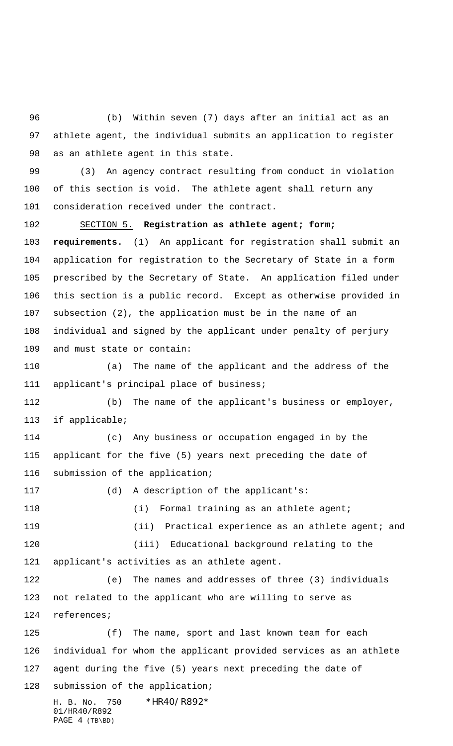(b) Within seven (7) days after an initial act as an athlete agent, the individual submits an application to register as an athlete agent in this state.

 (3) An agency contract resulting from conduct in violation of this section is void. The athlete agent shall return any consideration received under the contract.

 SECTION 5. **Registration as athlete agent; form; requirements.** (1) An applicant for registration shall submit an application for registration to the Secretary of State in a form prescribed by the Secretary of State. An application filed under this section is a public record. Except as otherwise provided in subsection (2), the application must be in the name of an individual and signed by the applicant under penalty of perjury and must state or contain:

 (a) The name of the applicant and the address of the applicant's principal place of business;

 (b) The name of the applicant's business or employer, if applicable;

 (c) Any business or occupation engaged in by the applicant for the five (5) years next preceding the date of submission of the application;

 (d) A description of the applicant's: 118 (i) Formal training as an athlete agent; (ii) Practical experience as an athlete agent; and (iii) Educational background relating to the applicant's activities as an athlete agent. (e) The names and addresses of three (3) individuals not related to the applicant who are willing to serve as references; (f) The name, sport and last known team for each individual for whom the applicant provided services as an athlete

agent during the five (5) years next preceding the date of

submission of the application;

H. B. No. 750 \*HR40/R892\* 01/HR40/R892 PAGE 4 (TB\BD)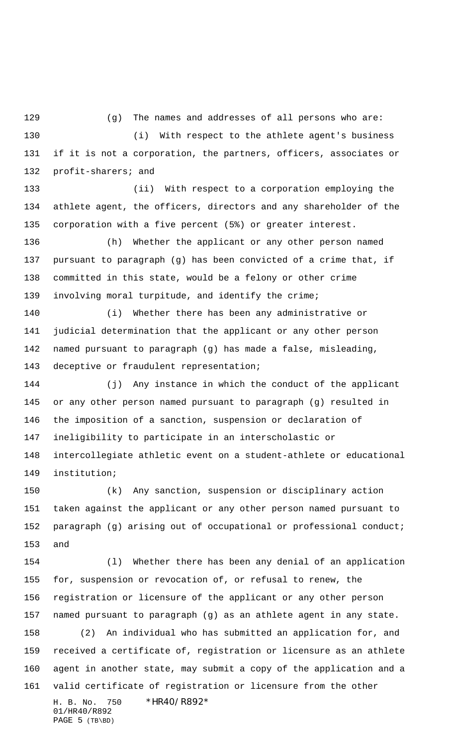129 (g) The names and addresses of all persons who are:

 (i) With respect to the athlete agent's business if it is not a corporation, the partners, officers, associates or profit-sharers; and

 (ii) With respect to a corporation employing the athlete agent, the officers, directors and any shareholder of the corporation with a five percent (5%) or greater interest.

 (h) Whether the applicant or any other person named pursuant to paragraph (g) has been convicted of a crime that, if committed in this state, would be a felony or other crime involving moral turpitude, and identify the crime;

 (i) Whether there has been any administrative or judicial determination that the applicant or any other person named pursuant to paragraph (g) has made a false, misleading, deceptive or fraudulent representation;

 (j) Any instance in which the conduct of the applicant or any other person named pursuant to paragraph (g) resulted in the imposition of a sanction, suspension or declaration of ineligibility to participate in an interscholastic or intercollegiate athletic event on a student-athlete or educational institution;

 (k) Any sanction, suspension or disciplinary action taken against the applicant or any other person named pursuant to paragraph (g) arising out of occupational or professional conduct; and

H. B. No. 750 \*HR40/R892\* 01/HR40/R892 (l) Whether there has been any denial of an application for, suspension or revocation of, or refusal to renew, the registration or licensure of the applicant or any other person named pursuant to paragraph (g) as an athlete agent in any state. (2) An individual who has submitted an application for, and received a certificate of, registration or licensure as an athlete agent in another state, may submit a copy of the application and a valid certificate of registration or licensure from the other

PAGE 5 (TB\BD)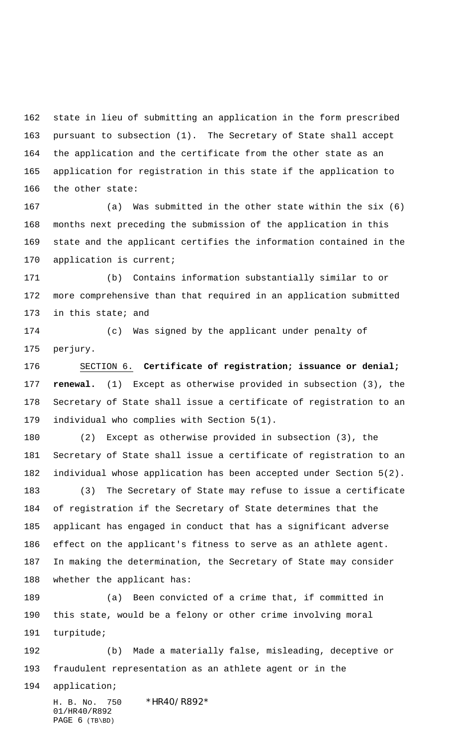state in lieu of submitting an application in the form prescribed pursuant to subsection (1). The Secretary of State shall accept the application and the certificate from the other state as an application for registration in this state if the application to the other state:

 (a) Was submitted in the other state within the six (6) months next preceding the submission of the application in this state and the applicant certifies the information contained in the application is current;

 (b) Contains information substantially similar to or more comprehensive than that required in an application submitted in this state; and

 (c) Was signed by the applicant under penalty of perjury.

 SECTION 6. **Certificate of registration; issuance or denial; renewal.** (1) Except as otherwise provided in subsection (3), the Secretary of State shall issue a certificate of registration to an individual who complies with Section 5(1).

 (2) Except as otherwise provided in subsection (3), the Secretary of State shall issue a certificate of registration to an individual whose application has been accepted under Section 5(2).

 (3) The Secretary of State may refuse to issue a certificate of registration if the Secretary of State determines that the applicant has engaged in conduct that has a significant adverse effect on the applicant's fitness to serve as an athlete agent. In making the determination, the Secretary of State may consider whether the applicant has:

 (a) Been convicted of a crime that, if committed in this state, would be a felony or other crime involving moral turpitude;

 (b) Made a materially false, misleading, deceptive or fraudulent representation as an athlete agent or in the

application;

H. B. No. 750 \*HR40/R892\* 01/HR40/R892 PAGE (TB\BD)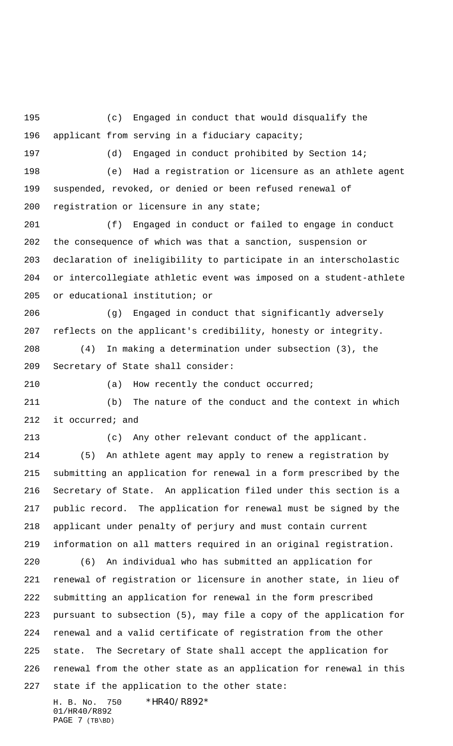(c) Engaged in conduct that would disqualify the applicant from serving in a fiduciary capacity; (d) Engaged in conduct prohibited by Section 14; (e) Had a registration or licensure as an athlete agent suspended, revoked, or denied or been refused renewal of registration or licensure in any state; (f) Engaged in conduct or failed to engage in conduct the consequence of which was that a sanction, suspension or declaration of ineligibility to participate in an interscholastic or intercollegiate athletic event was imposed on a student-athlete or educational institution; or (g) Engaged in conduct that significantly adversely reflects on the applicant's credibility, honesty or integrity. (4) In making a determination under subsection (3), the Secretary of State shall consider: (a) How recently the conduct occurred; (b) The nature of the conduct and the context in which it occurred; and (c) Any other relevant conduct of the applicant. (5) An athlete agent may apply to renew a registration by submitting an application for renewal in a form prescribed by the Secretary of State. An application filed under this section is a public record. The application for renewal must be signed by the applicant under penalty of perjury and must contain current information on all matters required in an original registration. (6) An individual who has submitted an application for renewal of registration or licensure in another state, in lieu of submitting an application for renewal in the form prescribed pursuant to subsection (5), may file a copy of the application for renewal and a valid certificate of registration from the other state. The Secretary of State shall accept the application for renewal from the other state as an application for renewal in this state if the application to the other state:

H. B. No. 750 \*HR40/R892\* 01/HR40/R892 PAGE 7 (TB\BD)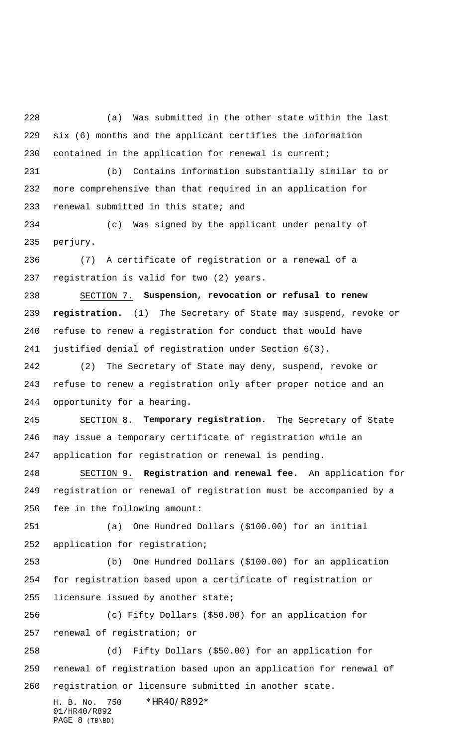(a) Was submitted in the other state within the last six (6) months and the applicant certifies the information contained in the application for renewal is current;

 (b) Contains information substantially similar to or more comprehensive than that required in an application for renewal submitted in this state; and

 (c) Was signed by the applicant under penalty of perjury.

 (7) A certificate of registration or a renewal of a registration is valid for two (2) years.

 SECTION 7. **Suspension, revocation or refusal to renew registration.** (1) The Secretary of State may suspend, revoke or refuse to renew a registration for conduct that would have justified denial of registration under Section 6(3).

 (2) The Secretary of State may deny, suspend, revoke or refuse to renew a registration only after proper notice and an opportunity for a hearing.

 SECTION 8. **Temporary registration.** The Secretary of State may issue a temporary certificate of registration while an application for registration or renewal is pending.

 SECTION 9. **Registration and renewal fee.** An application for registration or renewal of registration must be accompanied by a fee in the following amount:

 (a) One Hundred Dollars (\$100.00) for an initial application for registration;

 (b) One Hundred Dollars (\$100.00) for an application for registration based upon a certificate of registration or licensure issued by another state;

 (c) Fifty Dollars (\$50.00) for an application for renewal of registration; or

 (d) Fifty Dollars (\$50.00) for an application for renewal of registration based upon an application for renewal of registration or licensure submitted in another state.

H. B. No. 750 \*HR40/R892\* 01/HR40/R892 PAGE 8 (TB\BD)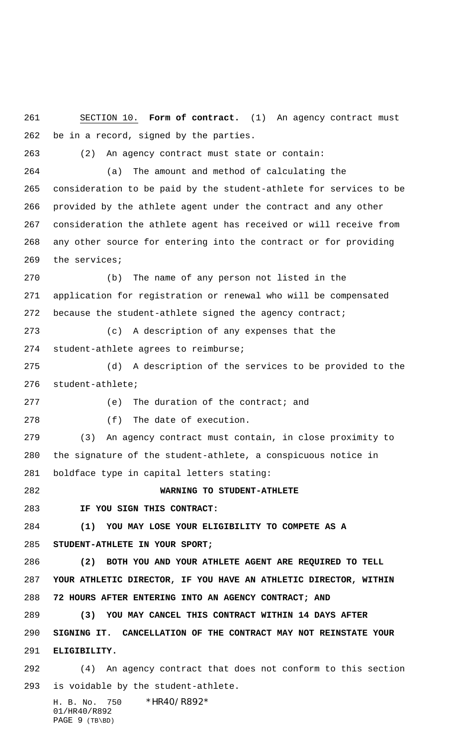H. B. No. 750 \*HR40/R892\* SECTION 10. **Form of contract.** (1) An agency contract must be in a record, signed by the parties. (2) An agency contract must state or contain: (a) The amount and method of calculating the consideration to be paid by the student-athlete for services to be provided by the athlete agent under the contract and any other consideration the athlete agent has received or will receive from any other source for entering into the contract or for providing the services; (b) The name of any person not listed in the application for registration or renewal who will be compensated 272 because the student-athlete signed the agency contract; (c) A description of any expenses that the student-athlete agrees to reimburse; (d) A description of the services to be provided to the student-athlete; 277 (e) The duration of the contract; and (f) The date of execution. (3) An agency contract must contain, in close proximity to the signature of the student-athlete, a conspicuous notice in boldface type in capital letters stating: **WARNING TO STUDENT-ATHLETE IF YOU SIGN THIS CONTRACT: (1) YOU MAY LOSE YOUR ELIGIBILITY TO COMPETE AS A STUDENT-ATHLETE IN YOUR SPORT; (2) BOTH YOU AND YOUR ATHLETE AGENT ARE REQUIRED TO TELL YOUR ATHLETIC DIRECTOR, IF YOU HAVE AN ATHLETIC DIRECTOR, WITHIN 72 HOURS AFTER ENTERING INTO AN AGENCY CONTRACT; AND (3) YOU MAY CANCEL THIS CONTRACT WITHIN 14 DAYS AFTER SIGNING IT. CANCELLATION OF THE CONTRACT MAY NOT REINSTATE YOUR ELIGIBILITY.** (4) An agency contract that does not conform to this section is voidable by the student-athlete.

01/HR40/R892 PAGE 9 (TB\BD)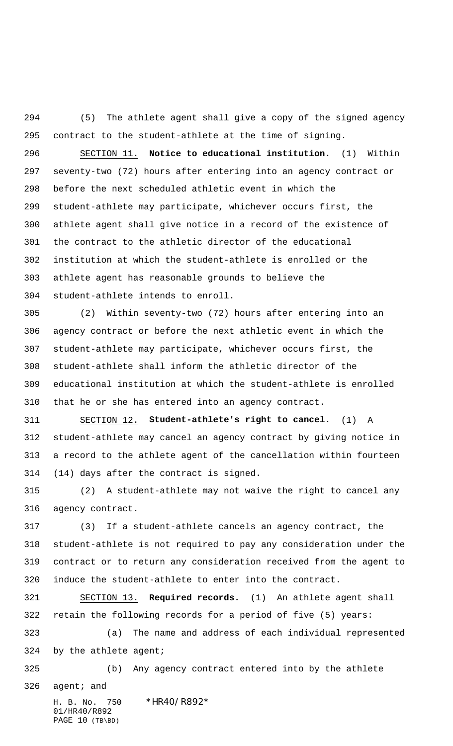(5) The athlete agent shall give a copy of the signed agency contract to the student-athlete at the time of signing.

 SECTION 11. **Notice to educational institution.** (1) Within seventy-two (72) hours after entering into an agency contract or before the next scheduled athletic event in which the student-athlete may participate, whichever occurs first, the athlete agent shall give notice in a record of the existence of the contract to the athletic director of the educational institution at which the student-athlete is enrolled or the athlete agent has reasonable grounds to believe the student-athlete intends to enroll.

 (2) Within seventy-two (72) hours after entering into an agency contract or before the next athletic event in which the student-athlete may participate, whichever occurs first, the student-athlete shall inform the athletic director of the educational institution at which the student-athlete is enrolled that he or she has entered into an agency contract.

 SECTION 12. **Student-athlete's right to cancel.** (1) A student-athlete may cancel an agency contract by giving notice in a record to the athlete agent of the cancellation within fourteen (14) days after the contract is signed.

 (2) A student-athlete may not waive the right to cancel any agency contract.

 (3) If a student-athlete cancels an agency contract, the student-athlete is not required to pay any consideration under the contract or to return any consideration received from the agent to induce the student-athlete to enter into the contract.

 SECTION 13. **Required records.** (1) An athlete agent shall retain the following records for a period of five (5) years:

 (a) The name and address of each individual represented by the athlete agent;

 (b) Any agency contract entered into by the athlete agent; and

H. B. No. 750 \*HR40/R892\* 01/HR40/R892 PAGE 10 (TB\BD)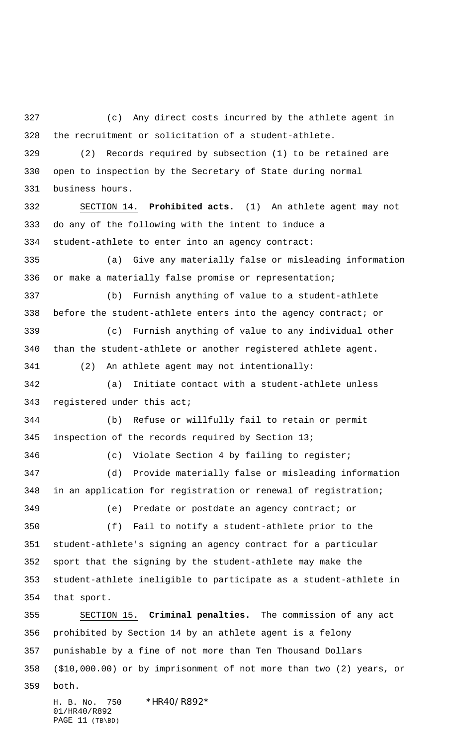(c) Any direct costs incurred by the athlete agent in the recruitment or solicitation of a student-athlete.

 (2) Records required by subsection (1) to be retained are open to inspection by the Secretary of State during normal business hours.

 SECTION 14. **Prohibited acts.** (1) An athlete agent may not do any of the following with the intent to induce a student-athlete to enter into an agency contract: (a) Give any materially false or misleading information

or make a materially false promise or representation;

 (b) Furnish anything of value to a student-athlete before the student-athlete enters into the agency contract; or (c) Furnish anything of value to any individual other than the student-athlete or another registered athlete agent.

(2) An athlete agent may not intentionally:

 (a) Initiate contact with a student-athlete unless registered under this act;

 (b) Refuse or willfully fail to retain or permit inspection of the records required by Section 13;

 (c) Violate Section 4 by failing to register; (d) Provide materially false or misleading information in an application for registration or renewal of registration; (e) Predate or postdate an agency contract; or

 (f) Fail to notify a student-athlete prior to the student-athlete's signing an agency contract for a particular sport that the signing by the student-athlete may make the student-athlete ineligible to participate as a student-athlete in that sport.

 SECTION 15. **Criminal penalties.** The commission of any act prohibited by Section 14 by an athlete agent is a felony punishable by a fine of not more than Ten Thousand Dollars (\$10,000.00) or by imprisonment of not more than two (2) years, or both.

H. B. No. 750 \*HR40/R892\* 01/HR40/R892 PAGE 11 (TB\BD)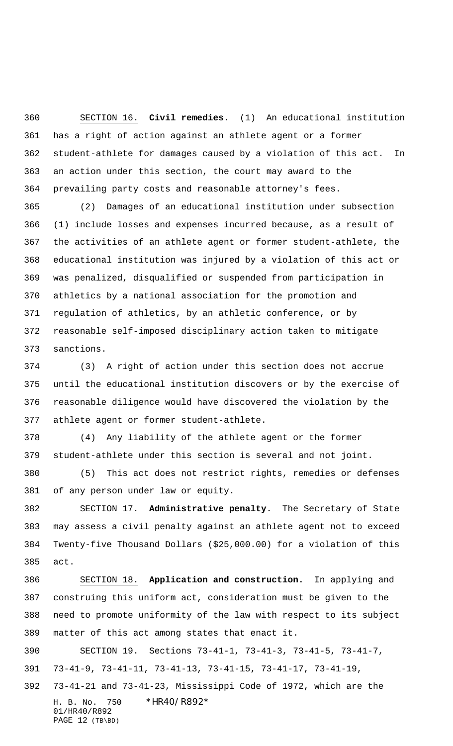SECTION 16. **Civil remedies.** (1) An educational institution has a right of action against an athlete agent or a former student-athlete for damages caused by a violation of this act. In an action under this section, the court may award to the prevailing party costs and reasonable attorney's fees.

 (2) Damages of an educational institution under subsection (1) include losses and expenses incurred because, as a result of the activities of an athlete agent or former student-athlete, the educational institution was injured by a violation of this act or was penalized, disqualified or suspended from participation in athletics by a national association for the promotion and regulation of athletics, by an athletic conference, or by reasonable self-imposed disciplinary action taken to mitigate sanctions.

 (3) A right of action under this section does not accrue until the educational institution discovers or by the exercise of reasonable diligence would have discovered the violation by the athlete agent or former student-athlete.

 (4) Any liability of the athlete agent or the former student-athlete under this section is several and not joint.

 (5) This act does not restrict rights, remedies or defenses of any person under law or equity.

 SECTION 17. **Administrative penalty.** The Secretary of State may assess a civil penalty against an athlete agent not to exceed Twenty-five Thousand Dollars (\$25,000.00) for a violation of this act.

 SECTION 18. **Application and construction.** In applying and construing this uniform act, consideration must be given to the need to promote uniformity of the law with respect to its subject matter of this act among states that enact it.

 SECTION 19. Sections 73-41-1, 73-41-3, 73-41-5, 73-41-7, 73-41-9, 73-41-11, 73-41-13, 73-41-15, 73-41-17, 73-41-19,

H. B. No. 750 \*HR40/R892\* 01/HR40/R892 PAGE 12 (TB\BD) 73-41-21 and 73-41-23, Mississippi Code of 1972, which are the